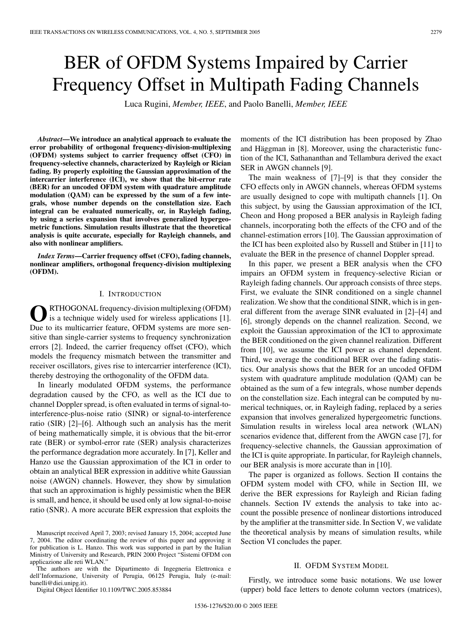# BER of OFDM Systems Impaired by Carrier Frequency Offset in Multipath Fading Channels

Luca Rugini, *Member, IEEE*, and Paolo Banelli, *Member, IEEE*

*Abstract***—We introduce an analytical approach to evaluate the error probability of orthogonal frequency-division-multiplexing (OFDM) systems subject to carrier frequency offset (CFO) in frequency-selective channels, characterized by Rayleigh or Rician fading. By properly exploiting the Gaussian approximation of the intercarrier interference (ICI), we show that the bit-error rate (BER) for an uncoded OFDM system with quadrature amplitude modulation (QAM) can be expressed by the sum of a few integrals, whose number depends on the constellation size. Each integral can be evaluated numerically, or, in Rayleigh fading, by using a series expansion that involves generalized hypergeometric functions. Simulation results illustrate that the theoretical analysis is quite accurate, especially for Rayleigh channels, and also with nonlinear amplifiers.**

*Index Terms***—Carrier frequency offset (CFO), fading channels, nonlinear amplifiers, orthogonal frequency-division multiplexing (OFDM).**

# I. INTRODUCTION

**O**RTHOGONAL frequency-division multiplexing (OFDM) is a technique widely used for wireless applications [1]. Due to its multicarrier feature, OFDM systems are more sensitive than single-carrier systems to frequency synchronization errors [2]. Indeed, the carrier frequency offset (CFO), which models the frequency mismatch between the transmitter and receiver oscillators, gives rise to intercarrier interference (ICI), thereby destroying the orthogonality of the OFDM data.

In linearly modulated OFDM systems, the performance degradation caused by the CFO, as well as the ICI due to channel Doppler spread, is often evaluated in terms of signal-tointerference-plus-noise ratio (SINR) or signal-to-interference ratio (SIR) [2]–[6]. Although such an analysis has the merit of being mathematically simple, it is obvious that the bit-error rate (BER) or symbol-error rate (SER) analysis characterizes the performance degradation more accurately. In [7], Keller and Hanzo use the Gaussian approximation of the ICI in order to obtain an analytical BER expression in additive white Gaussian noise (AWGN) channels. However, they show by simulation that such an approximation is highly pessimistic when the BER is small, and hence, it should be used only at low signal-to-noise ratio (SNR). A more accurate BER expression that exploits the

The authors are with the Dipartimento di Ingegneria Elettronica e dell'Informazione, University of Perugia, 06125 Perugia, Italy (e-mail: banelli@diei.unipg.it).

Digital Object Identifier 10.1109/TWC.2005.853884

moments of the ICI distribution has been proposed by Zhao and Häggman in [8]. Moreover, using the characteristic function of the ICI, Sathananthan and Tellambura derived the exact SER in AWGN channels [9].

The main weakness of [7]–[9] is that they consider the CFO effects only in AWGN channels, whereas OFDM systems are usually designed to cope with multipath channels [1]. On this subject, by using the Gaussian approximation of the ICI, Cheon and Hong proposed a BER analysis in Rayleigh fading channels, incorporating both the effects of the CFO and of the channel-estimation errors [10]. The Gaussian approximation of the ICI has been exploited also by Russell and Stüber in [11] to evaluate the BER in the presence of channel Doppler spread.

In this paper, we present a BER analysis when the CFO impairs an OFDM system in frequency-selective Rician or Rayleigh fading channels. Our approach consists of three steps. First, we evaluate the SINR conditioned on a single channel realization. We show that the conditional SINR, which is in general different from the average SINR evaluated in [2]–[4] and [6], strongly depends on the channel realization. Second, we exploit the Gaussian approximation of the ICI to approximate the BER conditioned on the given channel realization. Different from [10], we assume the ICI power as channel dependent. Third, we average the conditional BER over the fading statistics. Our analysis shows that the BER for an uncoded OFDM system with quadrature amplitude modulation (QAM) can be obtained as the sum of a few integrals, whose number depends on the constellation size. Each integral can be computed by numerical techniques, or, in Rayleigh fading, replaced by a series expansion that involves generalized hypergeometric functions. Simulation results in wireless local area network (WLAN) scenarios evidence that, different from the AWGN case [7], for frequency-selective channels, the Gaussian approximation of the ICI is quite appropriate. In particular, for Rayleigh channels, our BER analysis is more accurate than in [10].

The paper is organized as follows. Section II contains the OFDM system model with CFO, while in Section III, we derive the BER expressions for Rayleigh and Rician fading channels. Section IV extends the analysis to take into account the possible presence of nonlinear distortions introduced by the amplifier at the transmitter side. In Section V, we validate the theoretical analysis by means of simulation results, while Section VI concludes the paper.

### II. OFDM SYSTEM MODEL

Firstly, we introduce some basic notations. We use lower (upper) bold face letters to denote column vectors (matrices),

Manuscript received April 7, 2003; revised January 15, 2004; accepted June 7, 2004. The editor coordinating the review of this paper and approving it for publication is L. Hanzo. This work was supported in part by the Italian Ministry of University and Research, PRIN 2000 Project "Sistemi OFDM con applicazione alle reti WLAN."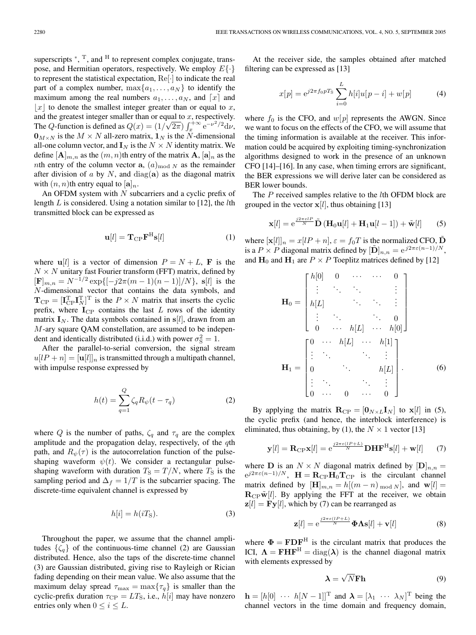superscripts  $*,$ <sup>T</sup>, and <sup>H</sup> to represent complex conjugate, transpose, and Hermitian operators, respectively. We employ  $E\{\cdot\}$ to represent the statistical expectation,  $\text{Re}[\cdot]$  to indicate the real part of a complex number,  $\max\{a_1,\ldots,a_N\}$  to identify the maximum among the real numbers  $a_1, \ldots, a_N$ , and  $\lceil x \rceil$  and |x| to denote the smallest integer greater than or equal to x, and the greatest integer smaller than or equal to  $x$ , respectively. and the greatest integer smaller than or equal to x, respectively.<br>The Q-function is defined as  $Q(x) = (1/\sqrt{2\pi}) \int_x^{+\infty} e^{-\nu^2/2} d\nu$ ,  $\mathbf{0}_{M\times N}$  is the  $M \times N$  all-zero matrix,  $\mathbf{1}_N$  is the N-dimensional all-one column vector, and  $\mathbf{I}_N$  is the  $N \times N$  identity matrix. We define  $[\mathbf{A}]_{m,n}$  as the  $(m, n)$ th entry of the matrix  $\mathbf{A}$ ,  $[\mathbf{a}]_n$  as the *nth* entry of the column vector **a**,  $(a)_{\text{mod }N}$  as the remainder after division of  $\alpha$  by  $N$ , and diag( $\alpha$ ) as the diagonal matrix with  $(n, n)$ th entry equal to  $[a]_n$ .

An OFDM system with  $N$  subcarriers and a cyclic prefix of length  $L$  is considered. Using a notation similar to [12], the  $l$ th transmitted block can be expressed as

$$
\mathbf{u}[l] = \mathbf{T}_{\mathrm{CP}} \mathbf{F}^{\mathrm{H}} \mathbf{s}[l] \tag{1}
$$

where  $\mathbf{u}[l]$  is a vector of dimension  $P = N + L$ , **F** is the  $N \times N$  unitary fast Fourier transform (FFT) matrix, defined by  $[\mathbf{F}]_{m,n} = N^{-1/2} \exp\{[-j2\pi(m-1)(n-1)]/N\}, \mathbf{s}[l]$  is the N-dimensional vector that contains the data symbols, and  $\mathbf{T}_{\text{CP}} = [\mathbf{I}_{\text{CP}}^{\text{T}} \mathbf{I}_{N}^{\text{T}}]^{\text{T}}$  is the  $P \times N$  matrix that inserts the cyclic prefix, where  $I_{\text{CP}}$  contains the last  $L$  rows of the identity matrix  $\mathbf{I}_N$ . The data symbols contained in  $\mathbf{s}[l]$ , drawn from an M-ary square QAM constellation, are assumed to be independent and identically distributed (i.i.d.) with power  $\sigma_{\rm S}^2 = 1$ .

After the parallel-to-serial conversion, the signal stream  $u[IP + n] = [u[l]]_n$  is transmitted through a multipath channel, with impulse response expressed by

$$
h(t) = \sum_{q=1}^{Q} \zeta_q R_{\psi}(t - \tau_q)
$$
 (2)

where Q is the number of paths,  $\zeta_q$  and  $\tau_q$  are the complex amplitude and the propagation delay, respectively, of the qth path, and  $R_{\psi}(\tau)$  is the autocorrelation function of the pulseshaping waveform  $\psi(t)$ . We consider a rectangular pulseshaping waveform with duration  $T<sub>S</sub> = T/N$ , where  $T<sub>S</sub>$  is the sampling period and  $\Delta_f = 1/T$  is the subcarrier spacing. The discrete-time equivalent channel is expressed by

$$
h[i] = h(iTS).
$$
 (3)

Throughout the paper, we assume that the channel amplitudes  $\{\zeta_q\}$  of the continuous-time channel (2) are Gaussian distributed. Hence, also the taps of the discrete-time channel (3) are Gaussian distributed, giving rise to Rayleigh or Rician fading depending on their mean value. We also assume that the maximum delay spread  $\tau_{\text{max}} = \max{\lbrace \tau_q \rbrace}$  is smaller than the cyclic-prefix duration  $\tau_{\rm CP} = LT_{\rm S}$ , i.e.,  $\bar{h}[i]$  may have nonzero entries only when  $0 \le i \le L$ .

At the receiver side, the samples obtained after matched filtering can be expressed as [13]

$$
x[p] = e^{j2\pi f_0 pT_S} \sum_{i=0}^{L} h[i]u[p-i] + w[p]
$$
 (4)

where  $f_0$  is the CFO, and  $w[p]$  represents the AWGN. Since we want to focus on the effects of the CFO, we will assume that the timing information is available at the receiver. This information could be acquired by exploiting timing-synchronization algorithms designed to work in the presence of an unknown CFO [14]–[16]. In any case, when timing errors are significant, the BER expressions we will derive later can be considered as BER lower bounds.

The P received samples relative to the lth OFDM block are grouped in the vector  $x[l]$ , thus obtaining [13]

$$
\mathbf{x}[l] = e^{\frac{j2\pi\epsilon lP}{N}} \tilde{\mathbf{D}} \left( \mathbf{H}_0 \mathbf{u}[l] + \mathbf{H}_1 \mathbf{u}[l-1] \right) + \tilde{\mathbf{w}}[l] \tag{5}
$$

where  $[\mathbf{x}[l]]_n = x[lP + n], \varepsilon = f_0T$  is the normalized CFO, **D** is a P × P diagonal matrix defined by  $[\mathbf{D}]_{n,n} = e^{j2\pi\varepsilon(n-1)/N}$ , and  $H_0$  and  $H_1$  are  $P \times P$  Toeplitz matrices defined by [12]

$$
\mathbf{H}_0 = \begin{bmatrix} h[0] & 0 & \cdots & \cdots & 0 \\ \vdots & \ddots & \ddots & & \vdots \\ h[L] & & \ddots & \ddots & \vdots \\ \vdots & \ddots & & \ddots & 0 \\ 0 & \cdots & h[L] & \cdots & h[0] \end{bmatrix}
$$

$$
\mathbf{H}_1 = \begin{bmatrix} 0 & \cdots & h[L] & \cdots & h[1] \\ \vdots & \ddots & & \ddots & \vdots \\ 0 & & \cdots & 0 & \cdots & 0 \end{bmatrix} .
$$
(6)

By applying the matrix  $\mathbf{R}_{\text{CP}} = [\mathbf{0}_{N \times L} \mathbf{I}_N]$  to  $\mathbf{x}[l]$  in (5), the cyclic prefix (and hence, the interblock interference) is eliminated, thus obtaining, by (1), the  $N \times 1$  vector [13]

$$
\mathbf{y}[l] = \mathbf{R}_{\mathrm{CP}} \mathbf{x}[l] = e^{\frac{j2\pi\varepsilon(lP+L)}{N}} \mathbf{D} \mathbf{H} \mathbf{F}^{\mathrm{H}} \mathbf{s}[l] + \mathbf{w}[l] \tag{7}
$$

where **D** is an  $N \times N$  diagonal matrix defined by  $[\mathbf{D}]_{n,n} =$  $e^{j2\pi\varepsilon(n-1)/N}$ ,  $\mathbf{H} = \mathbf{R}_{\text{CP}}\mathbf{H}_{0}\mathbf{T}_{\text{CP}}$  is the circulant channel matrix defined by  $[\mathbf{H}]_{m,n} = h[(m-n)_{mod N}]$ , and  $\mathbf{w}[l] =$  $\mathbf{R}_{\mathrm{CP}}\tilde{\mathbf{w}}[l]$ . By applying the FFT at the receiver, we obtain  $z[l] = \mathbf{F}y[l]$ , which by (7) can be rearranged as

$$
\mathbf{z}[l] = e^{\frac{j2\pi\varepsilon(lP+L)}{N}} \mathbf{\Phi} \mathbf{\Lambda} \mathbf{s}[l] + \mathbf{v}[l] \tag{8}
$$

where  $\Phi = \mathbf{FDF}^H$  is the circulant matrix that produces the ICI,  $\Lambda = FHF^H = \text{diag}(\lambda)$  is the channel diagonal matrix with elements expressed by

$$
\lambda = \sqrt{N} \mathbf{F} \mathbf{h} \tag{9}
$$

 $\mathbf{h} = [h[0] \cdots h[N-1]]^{\mathrm{T}}$  and  $\boldsymbol{\lambda} = [\lambda_1 \cdots \lambda_N]^{\mathrm{T}}$  being the channel vectors in the time domain and frequency domain,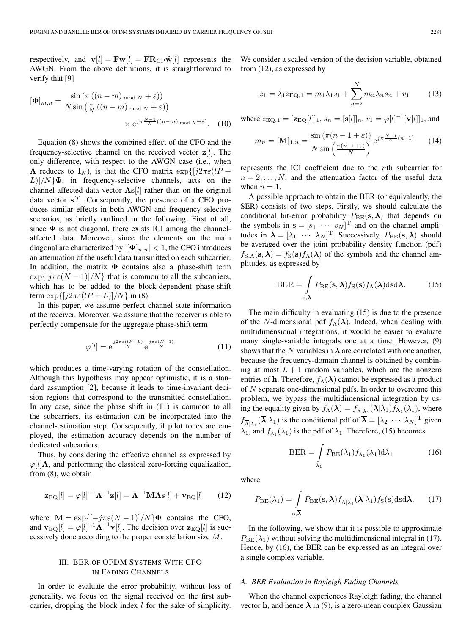respectively, and  $\mathbf{v}[l] = \mathbf{F}\mathbf{w}[l] = \mathbf{F}\mathbf{R}_{\text{CP}}\tilde{\mathbf{w}}[l]$  represents the AWGN. From the above definitions, it is straightforward to verify that [9]

$$
[\Phi]_{m,n} = \frac{\sin\left(\pi\left((n-m)_{\text{mod }N} + \varepsilon\right)\right)}{N\sin\left(\frac{\pi}{N}\left((n-m)_{\text{mod }N} + \varepsilon\right)\right)} \times e^{j\pi\frac{N-1}{N}\left((n-m)_{\text{mod }N} + \varepsilon\right)}.
$$
 (10)

Equation (8) shows the combined effect of the CFO and the frequency-selective channel on the received vector **z**[l]. The only difference, with respect to the AWGN case (i.e., when **Λ** reduces to  $I_N$ ), is that the CFO matrix  $\exp\{j2\pi\varepsilon(lP + \cdots)\}$  $L$ ]/ $N$ } $\Phi$ , in frequency-selective channels, acts on the channel-affected data vector **Λs**[l] rather than on the original data vector **s**[l]. Consequently, the presence of a CFO produces similar effects in both AWGN and frequency-selective scenarios, as briefly outlined in the following. First of all, since  $\Phi$  is not diagonal, there exists ICI among the channelaffected data. Moreover, since the elements on the main diagonal are characterized by  $|[\Phi]_{n,n}| < 1$ , the CFO introduces an attenuation of the useful data transmitted on each subcarrier. In addition, the matrix  $\Phi$  contains also a phase-shift term  $\exp\{[\frac{j\pi\varepsilon(N-1)}{N}\}\)$  that is common to all the subcarriers, which has to be added to the block-dependent phase-shift term  $\exp\{[j2\pi\varepsilon(lP+L)]/N\}$  in (8).

In this paper, we assume perfect channel state information at the receiver. Moreover, we assume that the receiver is able to perfectly compensate for the aggregate phase-shift term

$$
\varphi[l] = e^{\frac{j2\pi\varepsilon(lP+L)}{N}} e^{\frac{j\pi\varepsilon(N-1)}{N}}
$$
(11)

which produces a time-varying rotation of the constellation. Although this hypothesis may appear optimistic, it is a standard assumption [2], because it leads to time-invariant decision regions that correspond to the transmitted constellation. In any case, since the phase shift in (11) is common to all the subcarriers, its estimation can be incorporated into the channel-estimation step. Consequently, if pilot tones are employed, the estimation accuracy depends on the number of dedicated subcarriers.

Thus, by considering the effective channel as expressed by  $\varphi[l]\Lambda$ , and performing the classical zero-forcing equalization, from (8), we obtain

$$
\mathbf{z}_{\mathrm{EQ}}[l] = \varphi[l]^{-1} \mathbf{\Lambda}^{-1} \mathbf{z}[l] = \mathbf{\Lambda}^{-1} \mathbf{M} \mathbf{\Lambda} \mathbf{s}[l] + \mathbf{v}_{\mathrm{EQ}}[l] \qquad (12)
$$

where  $\mathbf{M} = \exp\{[-j\pi\varepsilon(N-1)]/N\}$ **Φ** contains the CFO, and  $\mathbf{v}_{\text{EQ}}[l] = \varphi[l]^{-1} \mathbf{\Lambda}^{-1} \mathbf{v}[l]$ . The decision over  $\mathbf{z}_{\text{EQ}}[l]$  is successively done according to the proper constellation size M.

# III. BER OF OFDM SYSTEMS WITH CFO IN FADING CHANNELS

In order to evaluate the error probability, without loss of generality, we focus on the signal received on the first subcarrier, dropping the block index l for the sake of simplicity.

We consider a scaled version of the decision variable, obtained from (12), as expressed by

$$
z_1 = \lambda_1 z_{\text{EQ},1} = m_1 \lambda_1 s_1 + \sum_{n=2}^{N} m_n \lambda_n s_n + v_1 \qquad (13)
$$

where  $z_{\text{EQ},1} = [\mathbf{z}_{\text{EQ}}[l]]_1$ ,  $s_n = [\mathbf{s}[l]]_n$ ,  $v_1 = \varphi[l]^{-1}[\mathbf{v}[l]]_1$ , and

$$
m_n = [\mathbf{M}]_{1,n} = \frac{\sin\left(\pi(n-1+\varepsilon)\right)}{N\sin\left(\frac{\pi(n-1+\varepsilon)}{N}\right)} e^{j\pi\frac{N-1}{N}(n-1)} \tag{14}
$$

represents the ICI coefficient due to the nth subcarrier for  $n = 2, \ldots, N$ , and the attenuation factor of the useful data when  $n = 1$ .

A possible approach to obtain the BER (or equivalently, the SER) consists of two steps. Firstly, we should calculate the conditional bit-error probability  $P_{\text{BE}}(s, \lambda)$  that depends on the symbols in  $\mathbf{s} = [s_1 \cdots s_N]^T$  and on the channel amplitudes in  $\lambda = [\lambda_1 \cdots \lambda_N]^T$ . Successively,  $P_{BE}(s, \lambda)$  should be averaged over the joint probability density function (pdf)  $f_{S,\Lambda}(s,\lambda) = f_S(s) f_\Lambda(\lambda)$  of the symbols and the channel amplitudes, as expressed by

$$
BER = \int_{\mathbf{s}, \lambda} P_{BE}(\mathbf{s}, \lambda) f_{S}(\mathbf{s}) f_{\Lambda}(\lambda) d\mathbf{s} d\lambda.
$$
 (15)

The main difficulty in evaluating (15) is due to the presence of the N-dimensional pdf  $f_\Lambda(\lambda)$ . Indeed, when dealing with multidimensional integrations, it would be easier to evaluate many single-variable integrals one at a time. However, (9) shows that the N variables in  $\lambda$  are correlated with one another, because the frequency-domain channel is obtained by combining at most  $L + 1$  random variables, which are the nonzero entries of **h**. Therefore,  $f_{\Lambda}(\lambda)$  cannot be expressed as a product of N separate one-dimensional pdfs. In order to overcome this problem, we bypass the multidimensional integration by using the equality given by  $f_{\Lambda}(\lambda) = f_{\overline{\Lambda}|\lambda_1}(\overline{\lambda}|\lambda_1) f_{\lambda_1}(\lambda_1)$ , where  $f_{\overline{\Lambda}|\lambda_1}(\overline{\lambda}|\lambda_1)$  is the conditional pdf of  $\overline{\lambda} = [\lambda_2 \cdots \lambda_N]^{\text{T}}$  given  $\lambda_1$ , and  $f_{\lambda_1}(\lambda_1)$  is the pdf of  $\lambda_1$ . Therefore, (15) becomes

$$
BER = \int_{\lambda_1} P_{BE}(\lambda_1) f_{\lambda_1}(\lambda_1) d\lambda_1 \tag{16}
$$

where

$$
P_{\text{BE}}(\lambda_1) = \int\limits_{\mathbf{s}, \overline{\lambda}} P_{\text{BE}}(\mathbf{s}, \lambda) f_{\overline{\Lambda}|\lambda_1}(\overline{\lambda}|\lambda_1) f_{\text{S}}(\mathbf{s}) \text{dsd}\overline{\lambda}. \tag{17}
$$

In the following, we show that it is possible to approximate  $P_{\text{BE}}(\lambda_1)$  without solving the multidimensional integral in (17). Hence, by (16), the BER can be expressed as an integral over a single complex variable.

# *A. BER Evaluation in Rayleigh Fading Channels*

When the channel experiences Rayleigh fading, the channel vector **h**, and hence  $\lambda$  in (9), is a zero-mean complex Gaussian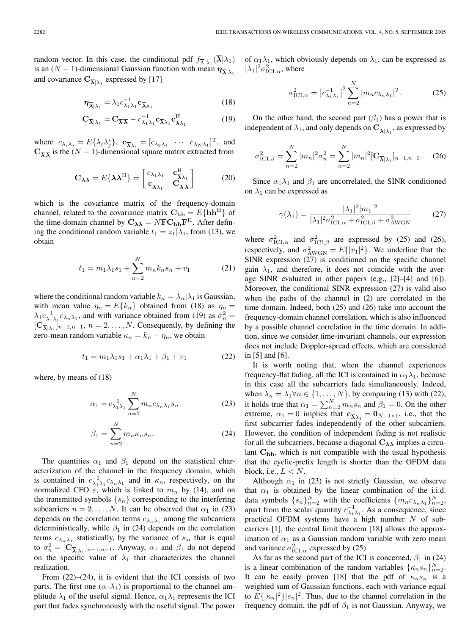random vector. In this case, the conditional pdf  $f_{\overline{\Lambda}|\lambda_1}(\lambda|\lambda_1)$ is an  $(N - 1)$ -dimensional Gaussian function with mean  $\eta_{\overline{\lambda}|\lambda_1}$ and covariance  $\mathbf{C}_{\overline{\boldsymbol{\lambda}}|\lambda_1}$  expressed by [17]

$$
\eta_{\overline{\lambda}|\lambda_1} = \lambda_1 c_{\lambda_1 \lambda_1}^{-1} \mathbf{c}_{\overline{\lambda} \lambda_1} \tag{18}
$$

$$
\mathbf{C}_{\overline{\boldsymbol{\lambda}}|\lambda_1} = \mathbf{C}_{\overline{\boldsymbol{\lambda}}\overline{\boldsymbol{\lambda}}} - c_{\lambda_1\lambda_1}^{-1} \mathbf{c}_{\overline{\boldsymbol{\lambda}}\lambda_1} \mathbf{c}_{\overline{\boldsymbol{\lambda}}\lambda_1}^{\mathrm{H}} \tag{19}
$$

where  $c_{\lambda_i \lambda_j} = E\{\lambda_i \lambda_j^*\}, \ \mathbf{c}_{\overline{\lambda} \lambda_1} = [c_{\lambda_2 \lambda_1} \cdots c_{\lambda_N \lambda_1}]^{\mathrm{T}}$ , and  $\mathbf{C}_{\overline{\lambda}}$  *λ* is the (*N* − 1)-dimensional square matrix extracted from

$$
\mathbf{C}_{\boldsymbol{\lambda}\boldsymbol{\lambda}} = E\{\boldsymbol{\lambda}\boldsymbol{\lambda}^{\mathrm{H}}\} = \begin{bmatrix} c_{\lambda_1\lambda_1} & \mathbf{c}_{\overline{\lambda}\lambda_1}^{\mathrm{H}} \\ \mathbf{c}_{\overline{\lambda}\lambda_1} & \mathbf{C}_{\overline{\lambda}\overline{\lambda}} \end{bmatrix}
$$
(20)

which is the covariance matrix of the frequency-domain channel, related to the covariance matrix  $C_{hh} = E\{hh^H\}$  of the time-domain channel by  $C_{\lambda\lambda} = NFC_{hh}F^{H}$ . After defining the conditional random variable  $t_1 = z_1|\lambda_1$ , from (13), we obtain

$$
t_1 = m_1 \lambda_1 s_1 + \sum_{n=2}^{N} m_n k_n s_n + v_1 \tag{21}
$$

where the conditional random variable  $k_n = \lambda_n |\lambda_1|$  is Gaussian, with mean value  $\eta_n = E\{k_n\}$  obtained from (18) as  $\eta_n =$  $\lambda_1 c_{\lambda_1 \lambda_1}^{-1} c_{\lambda_2 \lambda_1}$ , and with variance obtained from (19) as  $\sigma_n^2 =$  $[\mathbf{C}_{\overline{\boldsymbol{\lambda}}|\lambda_1}]_{n-1,n-1}, n = 2,\ldots,N.$  Consequently, by defining the zero-mean random variable  $\kappa_n = k_n - \eta_n$ , we obtain

$$
t_1 = m_1 \lambda_1 s_1 + \alpha_1 \lambda_1 + \beta_1 + v_1 \tag{22}
$$

where, by means of (18)

$$
\alpha_1 = c_{\lambda_1 \lambda_1}^{-1} \sum_{n=2}^{N} m_n c_{\lambda_n \lambda_1} s_n \tag{23}
$$

$$
\beta_1 = \sum_{n=2}^{N} m_n \kappa_n s_n.
$$
 (24)

The quantities  $\alpha_1$  and  $\beta_1$  depend on the statistical characterization of the channel in the frequency domain, which is contained in  $c_{\lambda_1 \lambda_1}^{-1} c_{\lambda_n \lambda_1}$  and in  $\kappa_n$ , respectively, on the normalized CFO  $\varepsilon$ , which is linked to  $m_n$  by (14), and on the transmitted symbols  $\{s_n\}$  corresponding to the interfering subcarriers  $n = 2, \ldots, N$ . It can be observed that  $\alpha_1$  in (23) depends on the correlation terms  $c_{\lambda_n\lambda_1}$  among the subcarriers deterministically, while  $\beta_1$  in (24) depends on the correlation terms  $c_{\lambda_n\lambda_1}$  statistically, by the variance of  $\kappa_n$  that is equal to  $\sigma_n^2 = [\mathbf{C}_{\overline{\boldsymbol{\lambda}} \vert \lambda_1}]_{n-1,n-1}$ . Anyway,  $\alpha_1$  and  $\beta_1$  do not depend on the specific value of  $\lambda_1$  that characterizes the channel realization.

From (22)–(24), it is evident that the ICI consists of two parts. The first one  $(\alpha_1 \lambda_1)$  is proportional to the channel amplitude  $\lambda_1$  of the useful signal. Hence,  $\alpha_1 \lambda_1$  represents the ICI part that fades synchronously with the useful signal. The power

of  $\alpha_1 \lambda_1$ , which obviously depends on  $\lambda_1$ , can be expressed as  $|\lambda_1|^2 \sigma_{\text{ICI},\alpha}^2$ , where

$$
\sigma_{\text{ICI}, \alpha}^2 = \left| c_{\lambda_1 \lambda_1}^{-1} \right|^2 \sum_{n=2}^N \left| m_n c_{\lambda_n \lambda_1} \right|^2. \tag{25}
$$

On the other hand, the second part  $(\beta_1)$  has a power that is independent of  $\lambda_1$ , and only depends on  $\mathbf{C}_{\overline{\boldsymbol{\lambda}}|\lambda_1}$ , as expressed by

$$
\sigma_{\text{ICI},\beta}^2 = \sum_{n=2}^{N} |m_n|^2 \sigma_n^2 = \sum_{n=2}^{N} |m_n|^2 [\mathbf{C}_{\overline{\lambda}|\lambda_1}]_{n-1,n-1}.
$$
 (26)

Since  $\alpha_1 \lambda_1$  and  $\beta_1$  are uncorrelated, the SINR conditioned on  $\lambda_1$  can be expressed as

$$
\gamma(\lambda_1) = \frac{|\lambda_1|^2 |m_1|^2}{|\lambda_1|^2 \sigma_{\text{ICI}, \alpha}^2 + \sigma_{\text{ICI}, \beta}^2 + \sigma_{\text{AWGN}}^2} \tag{27}
$$

where  $\sigma_{\text{ICI},\alpha}^2$  and  $\sigma_{\text{ICI},\beta}^2$  are expressed by (25) and (26), respectively, and  $\sigma_{\text{AWGN}}^2 = E\{|v_1|^2\}$ . We underline that the SINR expression (27) is conditioned on the specific channel gain  $\lambda_1$ , and therefore, it does not coincide with the average SINR evaluated in other papers (e.g., [2]–[4] and [6]). Moreover, the conditional SINR expression (27) is valid also when the paths of the channel in (2) are correlated in the time domain. Indeed, both (25) and (26) take into account the frequency-domain channel correlation, which is also influenced by a possible channel correlation in the time domain. In addition, since we consider time-invariant channels, our expression does not include Doppler-spread effects, which are considered in [5] and [6].

It is worth noting that, when the channel experiences frequency-flat fading, all the ICI is contained in  $\alpha_1 \lambda_1$ , because in this case all the subcarriers fade simultaneously. Indeed, when  $\lambda_n = \lambda_1 \forall n \in \{1, ..., N\}$ , by comparing (13) with (22), it holds true that  $\alpha_1 = \sum_{n=2}^{N} m_n s_n$  and  $\beta_1 = 0$ . On the other extreme,  $\alpha_1 = 0$  implies that  $\mathbf{c}_{\overline{\lambda} \lambda_1} = \mathbf{0}_{N-1 \times 1}$ , i.e., that the first subcarrier fades independently of the other subcarriers. However, the condition of independent fading is not realistic for all the subcarriers, because a diagonal  $C_{\lambda\lambda}$  implies a circulant  $C_{hh}$ , which is not compatible with the usual hypothesis that the cyclic-prefix length is shorter than the OFDM data block, i.e.,  $L < N$ .

Although  $\alpha_1$  in (23) is not strictly Gaussian, we observe that  $\alpha_1$  is obtained by the linear combination of the i.i.d. data symbols  $\{s_n\}_{n=2}^N$  with the coefficients  $\{m_n c_{\lambda_n \lambda_1}\}_{n=2}^N$ , apart from the scalar quantity  $c_{\lambda_1 \lambda_1}^{-1}$ . As a consequence, since practical OFDM systems have a high number  $N$  of subcarriers [1], the central limit theorem [18] allows the approximation of  $\alpha_1$  as a Gaussian random variable with zero mean and variance  $\sigma_{\text{ICI}, \alpha}^2$  expressed by (25).

As far as the second part of the ICI is concerned,  $\beta_1$  in (24) is a linear combination of the random variables  $\{\kappa_n s_n\}_{n=2}^N$ . It can be easily proven [18] that the pdf of  $\kappa_n s_n$  is a weighted sum of Gaussian functions, each with variance equal to  $E\{|\kappa_n|^2\}|s_n|^2$ . Thus, due to the channel correlation in the frequency domain, the pdf of  $\beta_1$  is not Gaussian. Anyway, we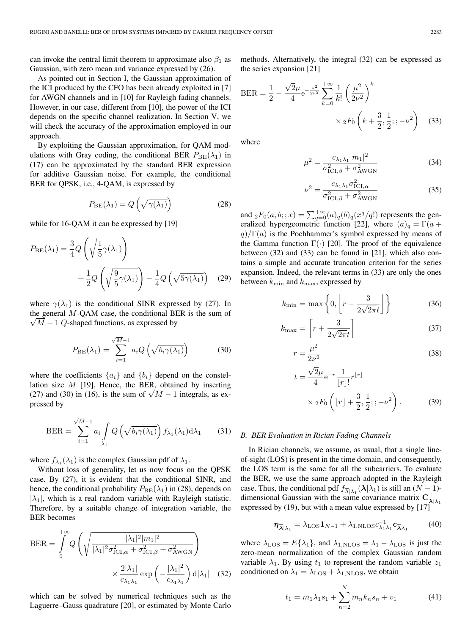can invoke the central limit theorem to approximate also  $\beta_1$  as Gaussian, with zero mean and variance expressed by (26).

As pointed out in Section I, the Gaussian approximation of the ICI produced by the CFO has been already exploited in [7] for AWGN channels and in [10] for Rayleigh fading channels. However, in our case, different from [10], the power of the ICI depends on the specific channel realization. In Section V, we will check the accuracy of the approximation employed in our approach.

By exploiting the Gaussian approximation, for QAM modulations with Gray coding, the conditional BER  $P_{BE}(\lambda_1)$  in (17) can be approximated by the standard BER expression for additive Gaussian noise. For example, the conditional BER for QPSK, i.e., 4-QAM, is expressed by

$$
P_{\text{BE}}(\lambda_1) = Q\left(\sqrt{\gamma(\lambda_1)}\right) \tag{28}
$$

while for 16-QAM it can be expressed by [19]

$$
P_{\text{BE}}(\lambda_1) = \frac{3}{4} Q\left(\sqrt{\frac{1}{5}\gamma(\lambda_1)}\right)
$$

$$
+ \frac{1}{2} Q\left(\sqrt{\frac{9}{5}\gamma(\lambda_1)}\right) - \frac{1}{4} Q\left(\sqrt{5\gamma(\lambda_1)}\right) \quad (29)
$$

where  $\gamma(\lambda_1)$  is the conditional SINR expressed by (27). In the general  $M$ -QAM case, the conditional BER is the sum of  $\sqrt{M-1}$  Q-shaped functions, as expressed by

$$
P_{\text{BE}}(\lambda_1) = \sum_{i=1}^{\sqrt{M}-1} a_i Q\left(\sqrt{b_i \gamma(\lambda_1)}\right)
$$
 (30)

where the coefficients  $\{a_i\}$  and  $\{b_i\}$  depend on the constellation size  $M$  [19]. Hence, the BER, obtained by inserting (27) and (30) in (16), is the sum of  $\sqrt{M} - 1$  integrals, as expressed by

$$
\text{BER} = \sum_{i=1}^{\sqrt{M}-1} a_i \int_{\lambda_1} Q\left(\sqrt{b_i \gamma(\lambda_1)}\right) f_{\lambda_1}(\lambda_1) d\lambda_1 \qquad (31)
$$

where  $f_{\lambda_1}(\lambda_1)$  is the complex Gaussian pdf of  $\lambda_1$ .

Without loss of generality, let us now focus on the QPSK case. By (27), it is evident that the conditional SINR, and hence, the conditional probability  $P_{\text{BE}}(\lambda_1)$  in (28), depends on  $|\lambda_1|$ , which is a real random variable with Rayleigh statistic. Therefore, by a suitable change of integration variable, the BER becomes

$$
BER = \int_{0}^{+\infty} Q\left(\sqrt{\frac{|\lambda_1|^2 |m_1|^2}{|\lambda_1|^2 \sigma_{\text{ICI},\alpha}^2 + \sigma_{\text{ICI},\beta}^2 + \sigma_{\text{AWGN}}^2}}\right) \times \frac{2|\lambda_1|}{c_{\lambda_1 \lambda_1}} \exp\left(-\frac{|\lambda_1|^2}{c_{\lambda_1 \lambda_1}}\right) d|\lambda_1| \quad (32)
$$

which can be solved by numerical techniques such as the Laguerre–Gauss quadrature [20], or estimated by Monte Carlo methods. Alternatively, the integral (32) can be expressed as the series expansion [21]

$$
BER = \frac{1}{2} - \frac{\sqrt{2}\mu}{4} e^{-\frac{\mu^2}{2\nu^2}} \sum_{k=0}^{+\infty} \frac{1}{k!} \left(\frac{\mu^2}{2\nu^2}\right)^k
$$

$$
\times {}_{2}F_0 \left(k + \frac{3}{2}, \frac{1}{2}; ; -\nu^2\right) \quad (33)
$$

where

$$
\mu^2 = \frac{c_{\lambda_1 \lambda_1} |m_1|^2}{\sigma_{\text{ICI}, \beta}^2 + \sigma_{\text{AWGN}}^2}
$$
(34)

$$
\nu^2 = \frac{c_{\lambda_1 \lambda_1} \sigma_{\text{ICI}, \alpha}^2}{\sigma_{\text{ICI}, \beta}^2 + \sigma_{\text{AWGN}}^2}
$$
(35)

and  $_2F_0(a, b; ; x) = \sum_{q=0}^{+\infty} (a)_q (b)_q (x^q/q!)$  represents the generalized hypergeometric function [22], where  $(a)_q = \Gamma(a +$  $q$ )/Γ(a) is the Pochhammer's symbol expressed by means of the Gamma function  $\Gamma(\cdot)$  [20]. The proof of the equivalence between (32) and (33) can be found in [21], which also contains a simple and accurate truncation criterion for the series expansion. Indeed, the relevant terms in (33) are only the ones between  $k_{\min}$  and  $k_{\max}$ , expressed by

$$
k_{\min} = \max\left\{0, \left[r - \frac{3}{2\sqrt{2\pi}t}\right]\right\}
$$
 (36)

$$
k_{\text{max}} = \left[ r + \frac{3}{2\sqrt{2\pi}t} \right] \tag{37}
$$

$$
r = \frac{\mu^2}{2\nu^2} \tag{38}
$$

$$
t = \frac{\sqrt{2}\mu}{4} e^{-r} \frac{1}{[r]!} r^{[r]}
$$
  
 
$$
\times {}_{2}F_{0} \left( [r] + \frac{3}{2}, \frac{1}{2}; ; -\nu^{2} \right).
$$
 (39)

#### *B. BER Evaluation in Rician Fading Channels*

In Rician channels, we assume, as usual, that a single lineof-sight (LOS) is present in the time domain, and consequently, the LOS term is the same for all the subcarriers. To evaluate the BER, we use the same approach adopted in the Rayleigh case. Thus, the conditional pdf  $f_{\overline{\Lambda}|\lambda_1}(\overline{\lambda}|\lambda_1)$  is still an  $(N-1)$ dimensional Gaussian with the same covariance matrix  $C_{\overline{\lambda}|\lambda_1}$ expressed by (19), but with a mean value expressed by [17]

$$
\eta_{\overline{\lambda}|\lambda_1} = \lambda_{\text{LOS}} \mathbf{1}_{N-1} + \lambda_{1,\text{NLOS}} c_{\lambda_1 \lambda_1}^{-1} \mathbf{c}_{\overline{\lambda} \lambda_1} \tag{40}
$$

where  $\lambda_{\text{LOS}} = E\{\lambda_1\}$ , and  $\lambda_{\text{LNLOS}} = \lambda_1 - \lambda_{\text{LOS}}$  is just the zero-mean normalization of the complex Gaussian random variable  $\lambda_1$ . By using  $t_1$  to represent the random variable  $z_1$ conditioned on  $\lambda_1 = \lambda_{\text{LOS}} + \lambda_{1,\text{NLOS}}$ , we obtain

$$
t_1 = m_1 \lambda_1 s_1 + \sum_{n=2}^{N} m_n k_n s_n + v_1 \tag{41}
$$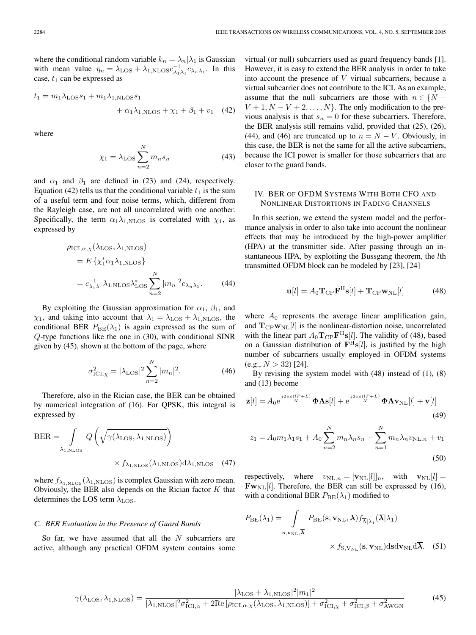where the conditional random variable  $k_n = \lambda_n |\lambda_1|$  is Gaussian with mean value  $\eta_n = \lambda_{\text{LOS}} + \lambda_{1,\text{NLOS}} c_{\lambda_1 \lambda_1}^{-1} c_{\lambda_n \lambda_1}$ . In this case,  $t_1$  can be expressed as

$$
t_1 = m_1 \lambda_{\text{LOS}} s_1 + m_1 \lambda_{1,\text{NLOS}} s_1
$$
  
+  $\alpha_1 \lambda_{1,\text{NLOS}} + \chi_1 + \beta_1 + v_1$  (42)

where

$$
\chi_1 = \lambda_{\text{LOS}} \sum_{n=2}^{N} m_n s_n \tag{43}
$$

and  $\alpha_1$  and  $\beta_1$  are defined in (23) and (24), respectively. Equation (42) tells us that the conditional variable  $t_1$  is the sum of a useful term and four noise terms, which, different from the Rayleigh case, are not all uncorrelated with one another. Specifically, the term  $\alpha_1 \lambda_{1,\text{NLOS}}$  is correlated with  $\chi_1$ , as expressed by

$$
\rho_{\text{ICI}, \alpha, \chi}(\lambda_{\text{LOS}}, \lambda_{1, \text{NLOS}})
$$
  
=  $E \{ \chi_1^* \alpha_1 \lambda_{1, \text{NLOS}} \}$   
=  $c_{\lambda_1 \lambda_1}^{-1} \lambda_{1, \text{NLOS}} \lambda_{\text{LOS}}^* \sum_{n=2}^N |m_n|^2 c_{\lambda_n \lambda_1}.$  (44)

By exploiting the Gaussian approximation for  $\alpha_1$ ,  $\beta_1$ , and  $\chi_1$ , and taking into account that  $\lambda_1 = \lambda_{\text{LOS}} + \lambda_{1,\text{NLOS}}$ , the conditional BER  $P_{BE}(\lambda_1)$  is again expressed as the sum of Q-type functions like the one in (30), with conditional SINR given by (45), shown at the bottom of the page, where

$$
\sigma_{\text{ICI}, \chi}^2 = |\lambda_{\text{LOS}}|^2 \sum_{n=2}^{N} |m_n|^2. \tag{46}
$$

Therefore, also in the Rician case, the BER can be obtained by numerical integration of (16). For QPSK, this integral is expressed by

$$
BER = \int_{\lambda_{1,\text{NLOS}}} Q\left(\sqrt{\gamma(\lambda_{\text{LOS}}, \lambda_{1,\text{NLOS}})}\right)
$$

$$
\times f_{\lambda_{1,\text{NLOS}}}\left(\lambda_{1,\text{NLOS}}\right) d\lambda_{1,\text{NLOS}} \quad (47)
$$

where  $f_{\lambda_{1,\text{NLOS}}}(\lambda_{1,\text{NLOS}})$  is complex Gaussian with zero mean. Obviously, the BER also depends on the Rician factor  $K$  that determines the LOS term  $\lambda$ <sub>LOS</sub>.

#### *C. BER Evaluation in the Presence of Guard Bands*

So far, we have assumed that all the  $N$  subcarriers are active, although any practical OFDM system contains some virtual (or null) subcarriers used as guard frequency bands [1]. However, it is easy to extend the BER analysis in order to take into account the presence of  $V$  virtual subcarriers, because a virtual subcarrier does not contribute to the ICI. As an example, assume that the null subcarriers are those with  $n \in \{N - \}$  $V + 1, N - V + 2, \ldots, N$ . The only modification to the previous analysis is that  $s_n = 0$  for these subcarriers. Therefore, the BER analysis still remains valid, provided that (25), (26), (44), and (46) are truncated up to  $n = N - V$ . Obviously, in this case, the BER is not the same for all the active subcarriers, because the ICI power is smaller for those subcarriers that are closer to the guard bands.

# IV. BER OF OFDM SYSTEMS WITH BOTH CFO AND NONLINEAR DISTORTIONS IN FADING CHANNELS

In this section, we extend the system model and the performance analysis in order to also take into account the nonlinear effects that may be introduced by the high-power amplifier (HPA) at the transmitter side. After passing through an instantaneous HPA, by exploiting the Bussgang theorem, the lth transmitted OFDM block can be modeled by [23], [24]

$$
\mathbf{u}[l] = A_0 \mathbf{T}_{\rm CP} \mathbf{F}^{\rm H} \mathbf{s}[l] + \mathbf{T}_{\rm CP} \mathbf{w}_{\rm NL}[l] \tag{48}
$$

where  $A_0$  represents the average linear amplification gain, and  $T_{\rm CP} \mathbf{w}_{\rm NL}[l]$  is the nonlinear-distortion noise, uncorrelated with the linear part  $A_0 \mathbf{T}_{\text{CP}} \mathbf{F}^{\text{H}} \mathbf{s}[l]$ . The validity of (48), based on a Gaussian distribution of  $\mathbf{F}^{\text{H}}\mathbf{s}[l]$ , is justified by the high number of subcarriers usually employed in OFDM systems  $(e.g., N > 32)$  [24].

By revising the system model with (48) instead of (1), (8) and (13) become

$$
\mathbf{z}[l] = A_0 e^{\frac{j2\pi\varepsilon(lP+L)}{N}} \mathbf{\Phi} \mathbf{\Lambda} \mathbf{s}[l] + e^{\frac{j2\pi\varepsilon(lP+L)}{N}} \mathbf{\Phi} \mathbf{\Lambda} \mathbf{v}_{\text{NL}}[l] + \mathbf{v}[l]
$$
(49)

$$
z_1 = A_0 m_1 \lambda_1 s_1 + A_0 \sum_{n=2}^{N} m_n \lambda_n s_n + \sum_{n=1}^{N} m_n \lambda_n v_{\text{NL},n} + v_1
$$
\n(50)

respectively, where  $v_{\text{NL},n} = [\mathbf{v}_{\text{NL}}[l]]_n$ , with  $\mathbf{v}_{\text{NL}}[l] =$  $\mathbf{Fw}_{\text{NL}}[l]$ . Therefore, the BER can still be expressed by (16), with a conditional BER  $P_{\text{BE}}(\lambda_1)$  modified to

$$
P_{\text{BE}}(\lambda_1) = \int_{\mathbf{s}, \mathbf{v}_{\text{NL}}, \overline{\lambda}} P_{\text{BE}}(\mathbf{s}, \mathbf{v}_{\text{NL}}, \lambda) f_{\overline{\Lambda}|\lambda_1}(\overline{\lambda}|\lambda_1) \newline \qquad \qquad -
$$

$$
\times f_{\rm S, V_{\rm NL}}(\mathbf{s}, \mathbf{v}_{\rm NL}) \text{d} s \text{d} \mathbf{v}_{\rm NL} \text{d} \lambda. \quad (51)
$$

(45)

$$
\gamma(\lambda_{\rm LOS}, \lambda_{1,\rm NLOS}) = \frac{|\lambda_{\rm LOS} + \lambda_{1,\rm NLOS}|^2 |m_1|^2}{|\lambda_{1,\rm NLOS}|^2 \sigma_{\rm ICI,\alpha}^2 + 2{\rm Re} \left[\rho_{\rm ICI,\alpha,\chi}(\lambda_{\rm LOS}, \lambda_{1,\rm NLOS})\right] + \sigma_{\rm ICI,\chi}^2 + \sigma_{\rm ICI,\beta}^2 + \sigma_{\rm AWGN}^2}
$$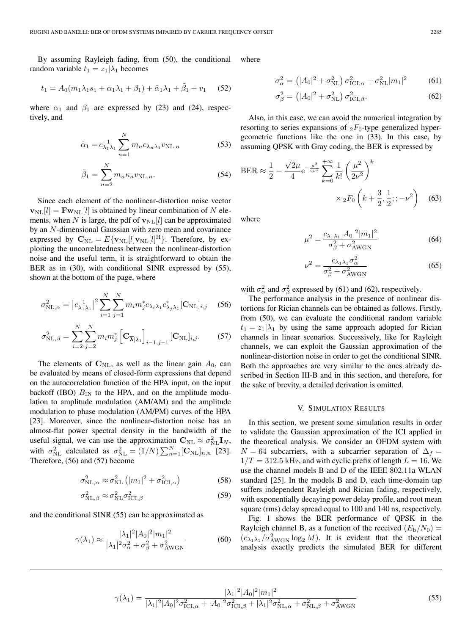By assuming Rayleigh fading, from (50), the conditional random variable  $t_1 = z_1 | \lambda_1$  becomes

$$
t_1 = A_0(m_1\lambda_1 s_1 + \alpha_1\lambda_1 + \beta_1) + \tilde{\alpha}_1\lambda_1 + \tilde{\beta}_1 + v_1 \quad (52)
$$

where  $\alpha_1$  and  $\beta_1$  are expressed by (23) and (24), respectively, and

$$
\tilde{\alpha}_1 = c_{\lambda_1 \lambda_1}^{-1} \sum_{n=1}^{N} m_n c_{\lambda_n \lambda_1} v_{\text{NL},n}
$$
 (53)

$$
\tilde{\beta}_1 = \sum_{n=2}^{N} m_n \kappa_n v_{\text{NL},n}.
$$
\n(54)

Since each element of the nonlinear-distortion noise vector  $\mathbf{v}_{\text{NL}}[l] = \mathbf{F} \mathbf{w}_{\text{NL}}[l]$  is obtained by linear combination of N elements, when N is large, the pdf of  $\mathbf{v}_{\text{NL}}[l]$  can be approximated by an N-dimensional Gaussian with zero mean and covariance expressed by  $\mathbf{C}_{\text{NL}} = E\{\mathbf{v}_{\text{NL}}[l]\mathbf{v}_{\text{NL}}[l]^{\text{H}}\}$ . Therefore, by exploiting the uncorrelatedness between the nonlinear-distortion noise and the useful term, it is straightforward to obtain the BER as in (30), with conditional SINR expressed by (55), shown at the bottom of the page, where

$$
\sigma_{\rm NL,\alpha}^2 = |c_{\lambda_1\lambda_1}^{-1}|^2 \sum_{i=1}^N \sum_{j=1}^N m_i m_j^* c_{\lambda_i\lambda_1} c_{\lambda_j\lambda_1}^* [\mathbf{C}_{\rm NL}]_{i,j} \quad (56)
$$

$$
\sigma_{\mathrm{NL},\beta}^{2} = \sum_{i=2}^{N} \sum_{j=2}^{N} m_{i} m_{j}^{*} \left[ \mathbf{C}_{\overline{\lambda}|\lambda_{1}} \right]_{i-1,j-1} [\mathbf{C}_{\mathrm{NL}}]_{i,j}.
$$
 (57)

The elements of  $C_{NL}$ , as well as the linear gain  $A_0$ , can be evaluated by means of closed-form expressions that depend on the autocorrelation function of the HPA input, on the input backoff (IBO)  $B_{IN}$  to the HPA, and on the amplitude modulation to amplitude modulation (AM/AM) and the amplitude modulation to phase modulation (AM/PM) curves of the HPA [23]. Moreover, since the nonlinear-distortion noise has an almost-flat power spectral density in the bandwidth of the useful signal, we can use the approximation  $C_{NL} \approx \sigma_{NL}^2 I_N$ , with  $\sigma_{\text{NL}}^2$  calculated as  $\sigma_{\text{NL}}^2 = (1/N) \sum_{n=1}^{N} [\mathbf{C}_{\text{NL}}]_{n,n}$  [23]. Therefore, (56) and (57) become

$$
\sigma_{\rm NL,\alpha}^2 \approx \sigma_{\rm NL}^2 \left( |m_1|^2 + \sigma_{\rm ICI,\alpha}^2 \right) \tag{58}
$$

$$
\sigma_{\text{NL},\beta}^2 \approx \sigma_{\text{NL}}^2 \sigma_{\text{ICI},\beta}^2 \tag{59}
$$

and the conditional SINR (55) can be approximated as

$$
\gamma(\lambda_1) \approx \frac{|\lambda_1|^2 |A_0|^2 |m_1|^2}{|\lambda_1|^2 \sigma_\alpha^2 + \sigma_\beta^2 + \sigma_{\text{AWGN}}^2}
$$
(60)

where

$$
\sigma_{\alpha}^{2} = (|A_{0}|^{2} + \sigma_{\rm NL}^{2}) \sigma_{\rm{ICI}, \alpha}^{2} + \sigma_{\rm NL}^{2} |m_{1}|^{2}
$$
 (61)

$$
\sigma_{\beta}^2 = \left(|A_0|^2 + \sigma_{\mathrm{NL}}^2\right)\sigma_{\mathrm{ICI},\beta}^2. \tag{62}
$$

Also, in this case, we can avoid the numerical integration by resorting to series expansions of  $_2F_0$ -type generalized hypergeometric functions like the one in (33). In this case, by assuming QPSK with Gray coding, the BER is expressed by

$$
BER \approx \frac{1}{2} - \frac{\sqrt{2}\mu}{4} e^{-\frac{\mu^2}{2\nu^2}} \sum_{k=0}^{+\infty} \frac{1}{k!} \left(\frac{\mu^2}{2\nu^2}\right)^k
$$

$$
\times {}_{2}F_0 \left(k + \frac{3}{2}, \frac{1}{2}; ; -\nu^2\right) \quad (63)
$$

where

$$
\mu^2 = \frac{c_{\lambda_1 \lambda_1} |A_0|^2 |m_1|^2}{\sigma_\beta^2 + \sigma_{\text{AWGN}}^2} \tag{64}
$$

$$
\nu^2 = \frac{c_{\lambda_1 \lambda_1} \sigma_\alpha^2}{\sigma_\beta^2 + \sigma_{\text{AWGN}}^2}
$$
(65)

with  $\sigma_{\alpha}^2$  and  $\sigma_{\beta}^2$  expressed by (61) and (62), respectively.

The performance analysis in the presence of nonlinear distortions for Rician channels can be obtained as follows. Firstly, from (50), we can evaluate the conditional random variable  $t_1 = z_1|\lambda_1$  by using the same approach adopted for Rician channels in linear scenarios. Successively, like for Rayleigh channels, we can exploit the Gaussian approximation of the nonlinear-distortion noise in order to get the conditional SINR. Both the approaches are very similar to the ones already described in Section III-B and in this section, and therefore, for the sake of brevity, a detailed derivation is omitted.

#### V. SIMULATION RESULTS

In this section, we present some simulation results in order to validate the Gaussian approximation of the ICI applied in the theoretical analysis. We consider an OFDM system with  $N = 64$  subcarriers, with a subcarrier separation of  $\Delta_f =$  $1/T = 312.5$  kHz, and with cyclic prefix of length  $L = 16$ . We use the channel models B and D of the IEEE 802.11a WLAN standard [25]. In the models B and D, each time-domain tap suffers independent Rayleigh and Rician fading, respectively, with exponentially decaying power delay profile, and root mean square (rms) delay spread equal to 100 and 140 ns, respectively.

Fig. 1 shows the BER performance of QPSK in the Rayleigh channel B, as a function of the received  $(E_b/N_0)$  =  $(c_{\lambda_1 \lambda_1}/\sigma_{\text{AWGN}}^2 \log_2 M)$ . It is evident that the theoretical analysis exactly predicts the simulated BER for different

$$
\gamma(\lambda_1) = \frac{|\lambda_1|^2 |A_0|^2 |m_1|^2}{|\lambda_1|^2 |A_0|^2 \sigma_{\rm{ICI},\alpha}^2 + |A_0|^2 \sigma_{\rm{ICI},\beta}^2 + |\lambda_1|^2 \sigma_{\rm{NL},\alpha}^2 + \sigma_{\rm{NL},\beta}^2 + \sigma_{\rm{AWGN}}^2}
$$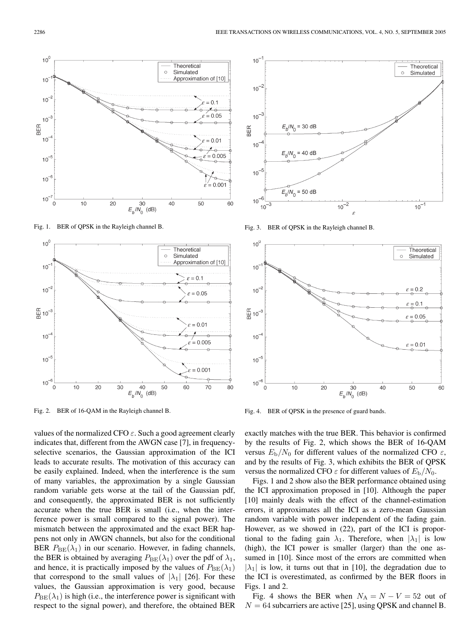

Fig. 1. BER of QPSK in the Rayleigh channel B.



Fig. 2. BER of 16-QAM in the Rayleigh channel B.

values of the normalized CFO  $\varepsilon$ . Such a good agreement clearly indicates that, different from the AWGN case [7], in frequencyselective scenarios, the Gaussian approximation of the ICI leads to accurate results. The motivation of this accuracy can be easily explained. Indeed, when the interference is the sum of many variables, the approximation by a single Gaussian random variable gets worse at the tail of the Gaussian pdf, and consequently, the approximated BER is not sufficiently accurate when the true BER is small (i.e., when the interference power is small compared to the signal power). The mismatch between the approximated and the exact BER happens not only in AWGN channels, but also for the conditional BER  $P_{BE}(\lambda_1)$  in our scenario. However, in fading channels, the BER is obtained by averaging  $P_{\text{BE}}(\lambda_1)$  over the pdf of  $\lambda_1$ , and hence, it is practically imposed by the values of  $P_{\text{BE}}(\lambda_1)$ that correspond to the small values of  $|\lambda_1|$  [26]. For these values, the Gaussian approximation is very good, because  $P_{\text{BE}}(\lambda_1)$  is high (i.e., the interference power is significant with respect to the signal power), and therefore, the obtained BER



Fig. 3. BER of QPSK in the Rayleigh channel B.



Fig. 4. BER of QPSK in the presence of guard bands.

exactly matches with the true BER. This behavior is confirmed by the results of Fig. 2, which shows the BER of 16-QAM versus  $E_{\rm b}/N_0$  for different values of the normalized CFO  $\varepsilon$ , and by the results of Fig. 3, which exhibits the BER of QPSK versus the normalized CFO  $\varepsilon$  for different values of  $E_{\rm b}/N_0$ .

Figs. 1 and 2 show also the BER performance obtained using the ICI approximation proposed in [10]. Although the paper [10] mainly deals with the effect of the channel-estimation errors, it approximates all the ICI as a zero-mean Gaussian random variable with power independent of the fading gain. However, as we showed in (22), part of the ICI is proportional to the fading gain  $\lambda_1$ . Therefore, when  $|\lambda_1|$  is low (high), the ICI power is smaller (larger) than the one assumed in [10]. Since most of the errors are committed when  $|\lambda_1|$  is low, it turns out that in [10], the degradation due to the ICI is overestimated, as confirmed by the BER floors in Figs. 1 and 2.

Fig. 4 shows the BER when  $N_A = N - V = 52$  out of  $N = 64$  subcarriers are active [25], using OPSK and channel B.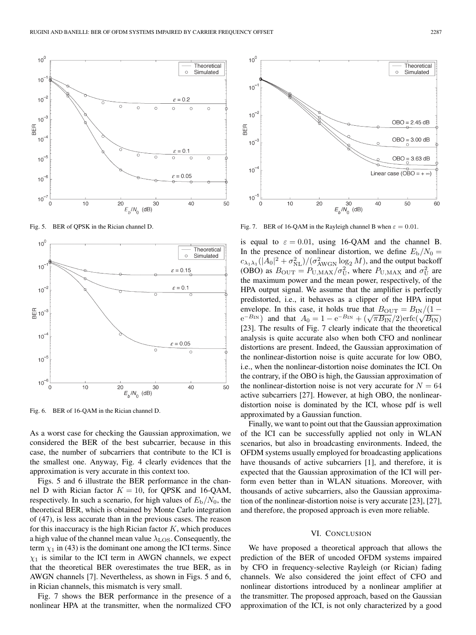

Fig. 5. BER of QPSK in the Rician channel D.



Fig. 6. BER of 16-QAM in the Rician channel D.

As a worst case for checking the Gaussian approximation, we considered the BER of the best subcarrier, because in this case, the number of subcarriers that contribute to the ICI is the smallest one. Anyway, Fig. 4 clearly evidences that the approximation is very accurate in this context too.

Figs. 5 and 6 illustrate the BER performance in the channel D with Rician factor  $K = 10$ , for QPSK and 16-QAM, respectively. In such a scenario, for high values of  $E_b/N_0$ , the theoretical BER, which is obtained by Monte Carlo integration of (47), is less accurate than in the previous cases. The reason for this inaccuracy is the high Rician factor  $K$ , which produces a high value of the channel mean value  $\lambda_{\text{LOS}}$ . Consequently, the term  $\chi_1$  in (43) is the dominant one among the ICI terms. Since  $\chi_1$  is similar to the ICI term in AWGN channels, we expect that the theoretical BER overestimates the true BER, as in AWGN channels [7]. Nevertheless, as shown in Figs. 5 and 6, in Rician channels, this mismatch is very small.

Fig. 7 shows the BER performance in the presence of a nonlinear HPA at the transmitter, when the normalized CFO



Fig. 7. BER of 16-QAM in the Rayleigh channel B when  $\varepsilon = 0.01$ .

is equal to  $\varepsilon = 0.01$ , using 16-QAM and the channel B. In the presence of nonlinear distortion, we define  $E_{\rm b}/N_0 =$  $c_{\lambda_1\lambda_1}(|A_0|^2 + \sigma_{\rm NL}^2)/(\sigma_{\rm AWGN}^2\log_2 M)$ , and the output backoff (OBO) as  $B_{\text{OUT}} = P_{\text{U},\text{MAX}} / \sigma_{\text{U}}^2$ , where  $P_{\text{U},\text{MAX}}$  and  $\sigma_{\text{U}}^2$  are the maximum power and the mean power, respectively, of the HPA output signal. We assume that the amplifier is perfectly predistorted, i.e., it behaves as a clipper of the HPA input envelope. In this case, it holds true that  $B_{\text{OUT}} = B_{\text{IN}}/(1$  $e^{-B_{IN}}$  and that  $A_0 = 1 - e^{-B_{IN}} + (\sqrt{\pi B_{IN}}/2)$ erfc $(\sqrt{B_{IN}})$ [23]. The results of Fig. 7 clearly indicate that the theoretical analysis is quite accurate also when both CFO and nonlinear distortions are present. Indeed, the Gaussian approximation of the nonlinear-distortion noise is quite accurate for low OBO, i.e., when the nonlinear-distortion noise dominates the ICI. On the contrary, if the OBO is high, the Gaussian approximation of the nonlinear-distortion noise is not very accurate for  $N = 64$ active subcarriers [27]. However, at high OBO, the nonlineardistortion noise is dominated by the ICI, whose pdf is well approximated by a Gaussian function.

Finally, we want to point out that the Gaussian approximation of the ICI can be successfully applied not only in WLAN scenarios, but also in broadcasting environments. Indeed, the OFDM systems usually employed for broadcasting applications have thousands of active subcarriers [1], and therefore, it is expected that the Gaussian approximation of the ICI will perform even better than in WLAN situations. Moreover, with thousands of active subcarriers, also the Gaussian approximation of the nonlinear-distortion noise is very accurate [23], [27], and therefore, the proposed approach is even more reliable.

# VI. CONCLUSION

We have proposed a theoretical approach that allows the prediction of the BER of uncoded OFDM systems impaired by CFO in frequency-selective Rayleigh (or Rician) fading channels. We also considered the joint effect of CFO and nonlinear distortions introduced by a nonlinear amplifier at the transmitter. The proposed approach, based on the Gaussian approximation of the ICI, is not only characterized by a good